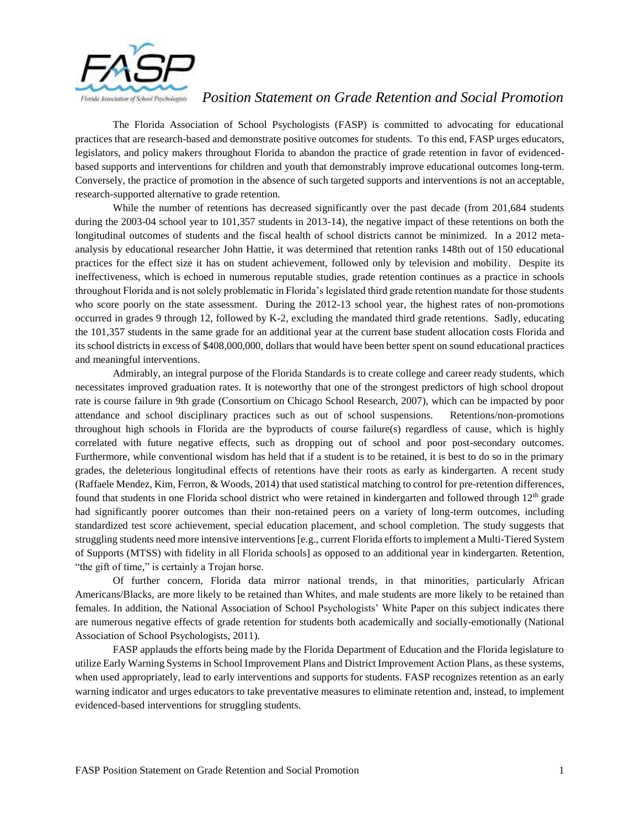

## *Position Statement on Grade Retention and Social Promotion*

The Florida Association of School Psychologists (FASP) is committed to advocating for educational practices that are research-based and demonstrate positive outcomes for students. To this end, FASP urges educators, legislators, and policy makers throughout Florida to abandon the practice of grade retention in favor of evidencedbased supports and interventions for children and youth that demonstrably improve educational outcomes long-term. Conversely, the practice of promotion in the absence of such targeted supports and interventions is not an acceptable, research-supported alternative to grade retention.

While the number of retentions has decreased significantly over the past decade (from 201,684 students during the 2003-04 school year to 101,357 students in 2013-14), the negative impact of these retentions on both the longitudinal outcomes of students and the fiscal health of school districts cannot be minimized. In a 2012 metaanalysis by educational researcher John Hattie, it was determined that retention ranks 148th out of 150 educational practices for the effect size it has on student achievement, followed only by television and mobility. Despite its ineffectiveness, which is echoed in numerous reputable studies, grade retention continues as a practice in schools throughout Florida and is not solely problematic in Florida's legislated third grade retention mandate for those students who score poorly on the state assessment. During the 2012-13 school year, the highest rates of non-promotions occurred in grades 9 through 12, followed by K-2, excluding the mandated third grade retentions. Sadly, educating the 101,357 students in the same grade for an additional year at the current base student allocation costs Florida and its school districts in excess of \$408,000,000, dollars that would have been better spent on sound educational practices and meaningful interventions.

Admirably, an integral purpose of the Florida Standards is to create college and career ready students, which necessitates improved graduation rates. It is noteworthy that one of the strongest predictors of high school dropout rate is course failure in 9th grade (Consortium on Chicago School Research, 2007), which can be impacted by poor attendance and school disciplinary practices such as out of school suspensions. Retentions/non-promotions throughout high schools in Florida are the byproducts of course failure(s) regardless of cause, which is highly correlated with future negative effects, such as dropping out of school and poor post-secondary outcomes. Furthermore, while conventional wisdom has held that if a student is to be retained, it is best to do so in the primary grades, the deleterious longitudinal effects of retentions have their roots as early as kindergarten. A recent study (Raffaele Mendez, Kim, Ferron, & Woods, 2014) that used statistical matching to control for pre-retention differences, found that students in one Florida school district who were retained in kindergarten and followed through  $12<sup>th</sup>$  grade had significantly poorer outcomes than their non-retained peers on a variety of long-term outcomes, including standardized test score achievement, special education placement, and school completion. The study suggests that struggling students need more intensive interventions [e.g., current Florida efforts to implement a Multi-Tiered System of Supports (MTSS) with fidelity in all Florida schools] as opposed to an additional year in kindergarten. Retention, "the gift of time," is certainly a Trojan horse.

Of further concern, Florida data mirror national trends, in that minorities, particularly African Americans/Blacks, are more likely to be retained than Whites, and male students are more likely to be retained than females. In addition, the National Association of School Psychologists' White Paper on this subject indicates there are numerous negative effects of grade retention for students both academically and socially-emotionally (National Association of School Psychologists, 2011).

FASP applauds the efforts being made by the Florida Department of Education and the Florida legislature to utilize Early Warning Systems in School Improvement Plans and District Improvement Action Plans, as these systems, when used appropriately, lead to early interventions and supports for students. FASP recognizes retention as an early warning indicator and urges educators to take preventative measures to eliminate retention and, instead, to implement evidenced-based interventions for struggling students.